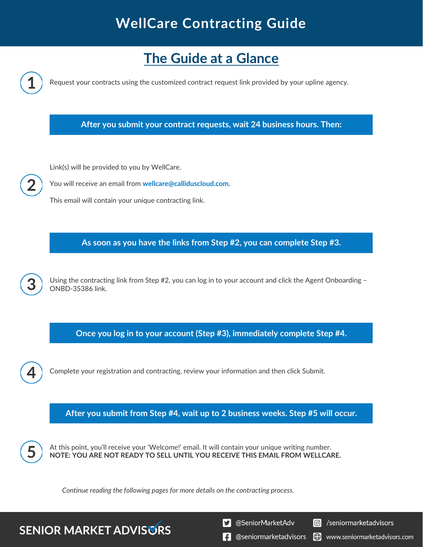

**NOTE: YOU ARE NOT READY TO SELL UNTIL YOU RECEIVE THIS EMAIL FROM WELLCARE.**

*Continue reading the following pages for more details on the contracting process.*

**SENIOR MARKET ADVISORS** 

@SeniorMarketAdv

**S** /seniormarketadvisors

 $\left| \cdot \right|$  @seniormarketadvisors (⊕ www.seniormarketadvisors.com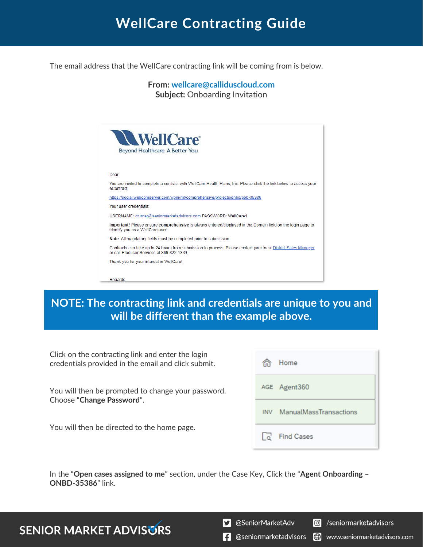The email address that the WellCare contracting link will be coming from is below.

#### **From: [wellcare@calliduscloud.com](mailto:wellcare@calliduscloud.com) Subject:** Onboarding Invitation



**NOTE: The contracting link and credentials are unique to you and will be different than the example above.**

| Click on the contracting link and enter the login<br>credentials provided in the email and click submit. | Home                                        |
|----------------------------------------------------------------------------------------------------------|---------------------------------------------|
| You will then be prompted to change your password.<br>Choose "Change Password".                          | AGE Agent360                                |
|                                                                                                          | <b>ManualMassTransactions</b><br><b>INV</b> |
| You will then be directed to the home page.                                                              | <b>Find Cases</b>                           |

In the "**Open cases assigned to me**" section, under the Case Key, Click the "**Agent Onboarding – ONBD-35386**" link.

**SENIOR MARKET ADVISORS** 

**D** @SeniorMarketAdv

Seniormarketadvisors

**f** @seniormarketadvisors (.) www.seniormarketadvisors.com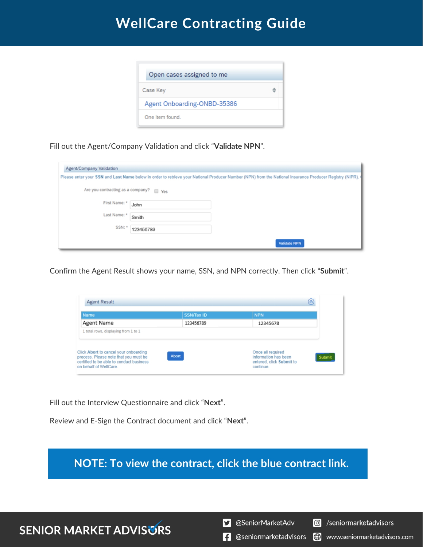

Fill out the Agent/Company Validation and click "**Validate NPN**".

| Agent/Company Validation                                                                                                                                 |           |              |  |  |  |  |
|----------------------------------------------------------------------------------------------------------------------------------------------------------|-----------|--------------|--|--|--|--|
| Please enter your SSN and Last Name below in order to retrieve your National Producer Number (NPN) from the National Insurance Producer Registry (NIPR). |           |              |  |  |  |  |
| Are you contracting as a company? $\qquad \qquad$ Yes                                                                                                    |           |              |  |  |  |  |
| First Name: *                                                                                                                                            | John      |              |  |  |  |  |
| Last Name: *                                                                                                                                             | Smith     |              |  |  |  |  |
| SSN: *                                                                                                                                                   | 123456789 |              |  |  |  |  |
|                                                                                                                                                          |           | Validate NPN |  |  |  |  |

Confirm the Agent Result shows your name, SSN, and NPN correctly. Then click "**Submit**".

| ⊗<br><b>Agent Result</b>                                                                                                                             |                   |                                                                                    |        |
|------------------------------------------------------------------------------------------------------------------------------------------------------|-------------------|------------------------------------------------------------------------------------|--------|
| Name                                                                                                                                                 | <b>SSN/Tax ID</b> | <b>NPN</b>                                                                         |        |
| Agent Name                                                                                                                                           | 123456789         | 12345678                                                                           |        |
| 1 total rows, displaying from 1 to 1                                                                                                                 |                   |                                                                                    |        |
| Click Abort to cancel your onboarding<br>process. Please note that you must be<br>certified to be able to conduct business<br>on behalf of WellCare. | <b>Abort</b>      | Once all required<br>information has been<br>entered, click Submit to<br>continue. | Submit |

Fill out the Interview Questionnaire and click "**Next**".

Review and E-Sign the Contract document and click "**Next**".

**NOTE: To view the contract, click the blue contract link.**

### **SENIOR MARKET ADVISURS**

S @SeniorMarketAdv

Seniormarketadvisors

**f** @seniormarketadvisors www.seniormarketadvisors.com